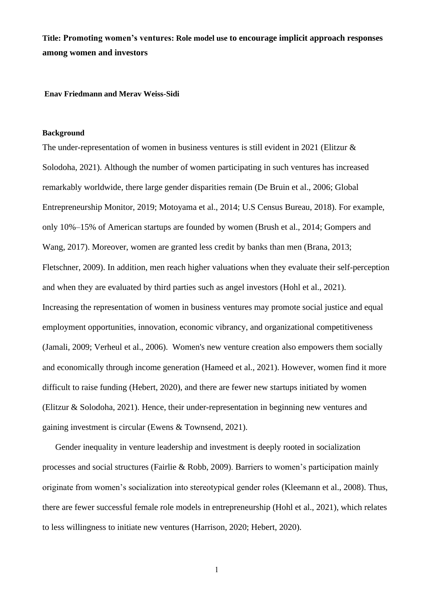**Title: Promoting women's ventures: Role model use to encourage implicit approach responses among women and investors** 

**Enav Friedmann and Merav Weiss-Sidi**

### **Background**

The under-representation of women in business ventures is still evident in 2021 (Elitzur & Solodoha, 2021). Although the number of women participating in such ventures has increased remarkably worldwide, there large gender disparities remain (De Bruin et al., 2006; Global Entrepreneurship Monitor, 2019; Motoyama et al., 2014; U.S Census Bureau, 2018). For example, only 10%–15% of American startups are founded by women (Brush et al., 2014; Gompers and Wang, 2017). Moreover, women are granted less credit by banks than men (Brana, 2013; Fletschner, 2009). In addition, men reach higher valuations when they evaluate their self-perception and when they are evaluated by third parties such as angel investors (Hohl et al., 2021). Increasing the representation of women in business ventures may promote social justice and equal employment opportunities, innovation, economic vibrancy, and organizational competitiveness (Jamali, 2009; Verheul et al., 2006). Women's new venture creation also empowers them socially and economically through income generation (Hameed et al., 2021). However, women find it more difficult to raise funding (Hebert, 2020), and there are fewer new startups initiated by women (Elitzur & Solodoha, 2021). Hence, their under-representation in beginning new ventures and gaining investment is circular (Ewens & Townsend, 2021).

Gender inequality in venture leadership and investment is deeply rooted in socialization processes and social structures (Fairlie & Robb, 2009). Barriers to women's participation mainly originate from women's socialization into stereotypical gender roles (Kleemann et al., 2008). Thus, there are fewer successful female role models in entrepreneurship (Hohl et al., 2021), which relates to less willingness to initiate new ventures (Harrison, 2020; Hebert, 2020).

1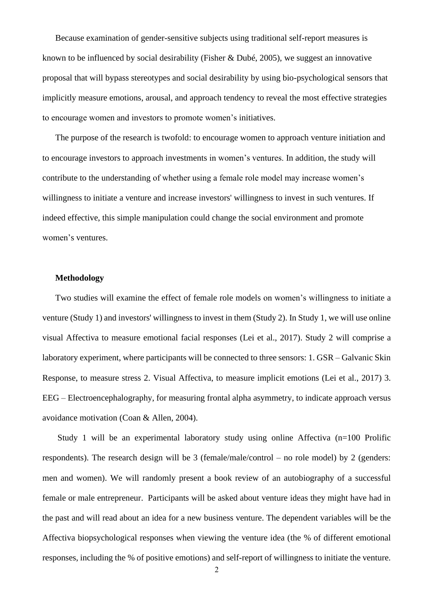Because examination of gender-sensitive subjects using traditional self-report measures is known to be influenced by social desirability (Fisher & Dubé, 2005), we suggest an innovative proposal that will bypass stereotypes and social desirability by using bio-psychological sensors that implicitly measure emotions, arousal, and approach tendency to reveal the most effective strategies to encourage women and investors to promote women's initiatives.

The purpose of the research is twofold: to encourage women to approach venture initiation and to encourage investors to approach investments in women's ventures. In addition, the study will contribute to the understanding of whether using a female role model may increase women's willingness to initiate a venture and increase investors' willingness to invest in such ventures. If indeed effective, this simple manipulation could change the social environment and promote women's ventures.

### **Methodology**

Two studies will examine the effect of female role models on women's willingness to initiate a venture (Study 1) and investors' willingness to invest in them (Study 2). In Study 1, we will use online visual Affectiva to measure emotional facial responses (Lei et al., 2017). Study 2 will comprise a laboratory experiment, where participants will be connected to three sensors: 1. GSR – Galvanic Skin Response, to measure stress 2. Visual Affectiva, to measure implicit emotions (Lei et al., 2017) 3. EEG – Electroencephalography, for measuring frontal alpha asymmetry, to indicate approach versus avoidance motivation (Coan & [Allen, 2004\)](https://www.frontiersin.org/articles/10.3389/fnbeh.2018.00166/full#B19).

Study 1 will be an experimental laboratory study using online Affectiva (n=100 Prolific respondents). The research design will be 3 (female/male/control – no role model) by 2 (genders: men and women). We will randomly present a book review of an autobiography of a successful female or male entrepreneur. Participants will be asked about venture ideas they might have had in the past and will read about an idea for a new business venture. The dependent variables will be the Affectiva biopsychological responses when viewing the venture idea (the % of different emotional responses, including the % of positive emotions) and self-report of willingness to initiate the venture.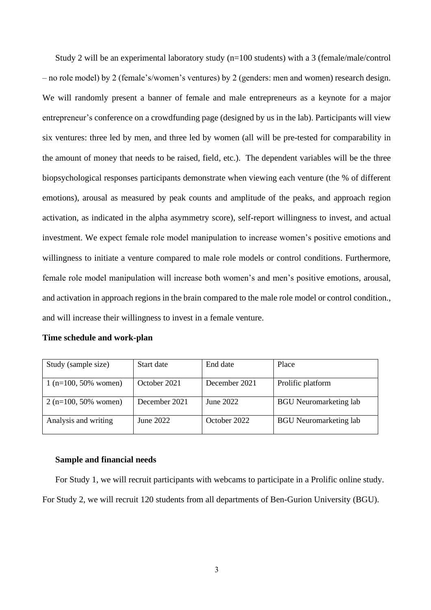Study 2 will be an experimental laboratory study (n=100 students) with a 3 (female/male/control – no role model) by 2 (female's/women's ventures) by 2 (genders: men and women) research design. We will randomly present a banner of female and male entrepreneurs as a keynote for a major entrepreneur's conference on a crowdfunding page (designed by us in the lab). Participants will view six ventures: three led by men, and three led by women (all will be pre-tested for comparability in the amount of money that needs to be raised, field, etc.). The dependent variables will be the three biopsychological responses participants demonstrate when viewing each venture (the % of different emotions), arousal as measured by peak counts and amplitude of the peaks, and approach region activation, as indicated in the alpha asymmetry score), self-report willingness to invest, and actual investment. We expect female role model manipulation to increase women's positive emotions and willingness to initiate a venture compared to male role models or control conditions. Furthermore, female role model manipulation will increase both women's and men's positive emotions, arousal, and activation in approach regions in the brain compared to the male role model or control condition., and will increase their willingness to invest in a female venture.

### **Time schedule and work-plan**

| Study (sample size)    | Start date    | End date      | Place                         |
|------------------------|---------------|---------------|-------------------------------|
| $1$ (n=100, 50% women) | October 2021  | December 2021 | Prolific platform             |
| $2(n=100, 50\%$ women) | December 2021 | June 2022     | <b>BGU</b> Neuromarketing lab |
| Analysis and writing   | June 2022     | October 2022  | <b>BGU</b> Neuromarketing lab |

#### **Sample and financial needs**

For Study 1, we will recruit participants with webcams to participate in a Prolific online study. For Study 2, we will recruit 120 students from all departments of Ben-Gurion University (BGU).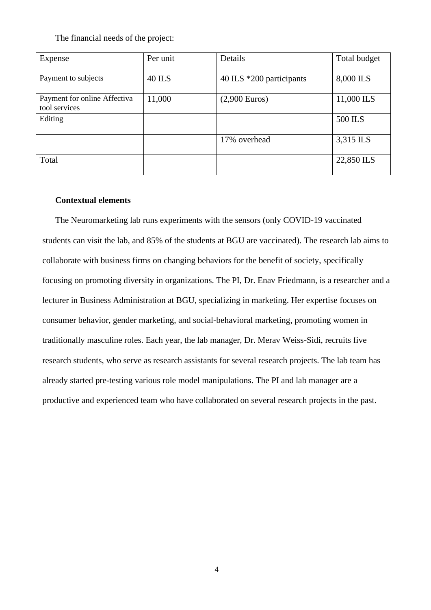The financial needs of the project:

| Expense                                       | Per unit      | Details                  | Total budget |
|-----------------------------------------------|---------------|--------------------------|--------------|
| Payment to subjects                           | <b>40 ILS</b> | 40 ILS *200 participants | 8,000 ILS    |
| Payment for online Affectiva<br>tool services | 11,000        | $(2,900$ Euros)          | 11,000 ILS   |
| Editing                                       |               |                          | 500 ILS      |
|                                               |               | 17% overhead             | 3,315 ILS    |
| Total                                         |               |                          | 22,850 ILS   |

# **Contextual elements**

The Neuromarketing lab runs experiments with the sensors (only COVID-19 vaccinated students can visit the lab, and 85% of the students at BGU are vaccinated). The research lab aims to collaborate with business firms on changing behaviors for the benefit of society, specifically focusing on promoting diversity in organizations. The PI, Dr. Enav Friedmann, is a researcher and a lecturer in Business Administration at BGU, specializing in marketing. Her expertise focuses on consumer behavior, gender marketing, and social-behavioral marketing, promoting women in traditionally masculine roles. Each year, the lab manager, Dr. Merav Weiss-Sidi, recruits five research students, who serve as research assistants for several research projects. The lab team has already started pre-testing various role model manipulations. The PI and lab manager are a productive and experienced team who have collaborated on several research projects in the past.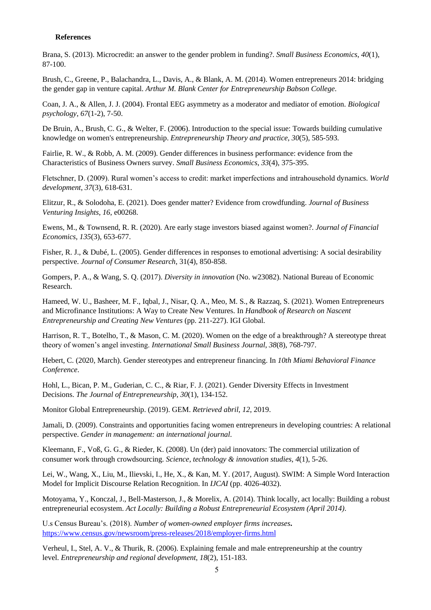#### **References**

Brana, S. (2013). Microcredit: an answer to the gender problem in funding?. *Small Business Economics*, *40*(1), 87-100.

Brush, C., Greene, P., Balachandra, L., Davis, A., & Blank, A. M. (2014). Women entrepreneurs 2014: bridging the gender gap in venture capital. *Arthur M. Blank Center for Entrepreneurship Babson College*.

Coan, J. A., & Allen, J. J. (2004). Frontal EEG asymmetry as a moderator and mediator of emotion. *Biological psychology*, *67*(1-2), 7-50.

De Bruin, A., Brush, C. G., & Welter, F. (2006). Introduction to the special issue: Towards building cumulative knowledge on women's entrepreneurship. *Entrepreneurship Theory and practice*, *30*(5), 585-593.

Fairlie, R. W., & Robb, A. M. (2009). Gender differences in business performance: evidence from the Characteristics of Business Owners survey. *Small Business Economics*, *33*(4), 375-395.

Fletschner, D. (2009). Rural women's access to credit: market imperfections and intrahousehold dynamics. *World development*, *37*(3), 618-631.

Elitzur, R., & Solodoha, E. (2021). Does gender matter? Evidence from crowdfunding. *Journal of Business Venturing Insights*, *16*, e00268.

Ewens, M., & Townsend, R. R. (2020). Are early stage investors biased against women?. *Journal of Financial Economics*, *135*(3), 653-677.

Fisher, R. J., & Dubé, L. (2005). Gender differences in responses to emotional advertising: A social desirability perspective. *Journal of Consumer Research*, 31(4), 850-858.

Gompers, P. A., & Wang, S. Q. (2017). *Diversity in innovation* (No. w23082). National Bureau of Economic Research.

Hameed, W. U., Basheer, M. F., Iqbal, J., Nisar, Q. A., Meo, M. S., & Razzaq, S. (2021). Women Entrepreneurs and Microfinance Institutions: A Way to Create New Ventures. In *Handbook of Research on Nascent Entrepreneurship and Creating New Ventures* (pp. 211-227). IGI Global.

Harrison, R. T., Botelho, T., & Mason, C. M. (2020). Women on the edge of a breakthrough? A stereotype threat theory of women's angel investing. *International Small Business Journal*, *38*(8), 768-797.

Hebert, C. (2020, March). Gender stereotypes and entrepreneur financing. In *10th Miami Behavioral Finance Conference*.

Hohl, L., Bican, P. M., Guderian, C. C., & Riar, F. J. (2021). Gender Diversity Effects in Investment Decisions. *The Journal of Entrepreneurship*, *30*(1), 134-152.

Monitor Global Entrepreneurship. (2019). GEM. *Retrieved abril*, *12*, 2019.

Jamali, D. (2009). Constraints and opportunities facing women entrepreneurs in developing countries: A relational perspective. *Gender in management: an international journal*.

Kleemann, F., Voß, G. G., & Rieder, K. (2008). Un (der) paid innovators: The commercial utilization of consumer work through crowdsourcing. *Science, technology & innovation studies*, *4*(1), 5-26.

Lei, W., Wang, X., Liu, M., Ilievski, I., He, X., & Kan, M. Y. (2017, August). SWIM: A Simple Word Interaction Model for Implicit Discourse Relation Recognition. In *IJCAI* (pp. 4026-4032).

Motoyama, Y., Konczal, J., Bell-Masterson, J., & Morelix, A. (2014). Think locally, act locally: Building a robust entrepreneurial ecosystem. *Act Locally: Building a Robust Entrepreneurial Ecosystem (April 2014)*.

U.s Census Bureau's. (2018). *Number of women-owned employer firms increases***.**  <https://www.census.gov/newsroom/press-releases/2018/employer-firms.html>

Verheul, I., Stel, A. V., & Thurik, R. (2006). Explaining female and male entrepreneurship at the country level. *Entrepreneurship and regional development*, *18*(2), 151-183.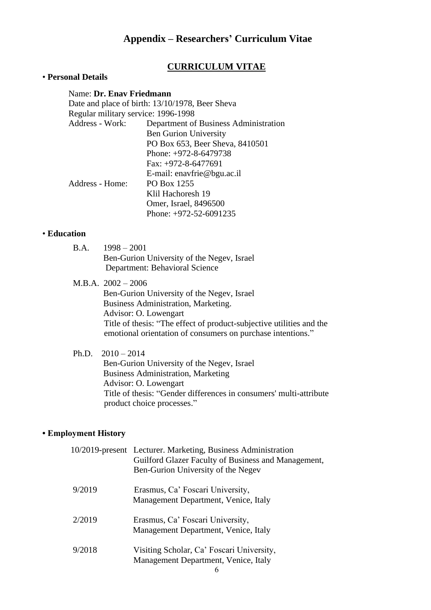# **Appendix – Researchers' Curriculum Vitae**

# **CURRICULUM VITAE**

# • **Personal Details**

# Name: **Dr. Enav Friedmann**

Date and place of birth: 13/10/1978, Beer Sheva Regular military service: 1996-1998 Address - Work: Department of Business Administration Ben Gurion University PO Box 653, Beer Sheva, 8410501 Phone: +972-8-6479738 Fax: +972-8-6477691 E-mail: enavfrie@bgu.ac.il Address - Home: PO Box 1255 Klil Hachoresh 19 Omer, Israel, 8496500 Phone: +972-52-6091235

### • **Education**

- B.A. 1998 2001 Ben-Gurion University of the Negev, Israel Department: Behavioral Science
- M.B.A. 2002 2006

 Ben-Gurion University of the Negev, Israel Business Administration, Marketing. Advisor: O. Lowengart Title of thesis: "The effect of product-subjective utilities and the emotional orientation of consumers on purchase intentions."

# Ph.D. 2010 – 2014

 Ben-Gurion University of the Negev, Israel Business Administration, Marketing Advisor: O. Lowengart Title of thesis: "Gender differences in consumers' multi-attribute product choice processes."

# **• Employment History**

|        | 10/2019-present Lecturer. Marketing, Business Administration<br>Guilford Glazer Faculty of Business and Management,<br>Ben-Gurion University of the Negev |
|--------|-----------------------------------------------------------------------------------------------------------------------------------------------------------|
| 9/2019 | Erasmus, Ca' Foscari University,<br>Management Department, Venice, Italy                                                                                  |
| 2/2019 | Erasmus, Ca' Foscari University,<br>Management Department, Venice, Italy                                                                                  |
| 9/2018 | Visiting Scholar, Ca' Foscari University,<br>Management Department, Venice, Italy                                                                         |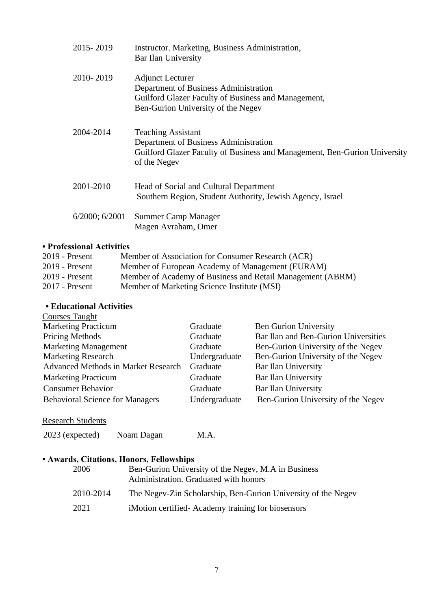| 2015-2019           | Instructor. Marketing, Business Administration,<br>Bar Ilan University                                                                                          |
|---------------------|-----------------------------------------------------------------------------------------------------------------------------------------------------------------|
| 2010-2019           | <b>Adjunct Lecturer</b><br>Department of Business Administration<br>Guilford Glazer Faculty of Business and Management,<br>Ben-Gurion University of the Negev   |
| 2004-2014           | <b>Teaching Assistant</b><br>Department of Business Administration<br>Guilford Glazer Faculty of Business and Management, Ben-Gurion University<br>of the Negev |
| 2001-2010           | Head of Social and Cultural Department<br>Southern Region, Student Authority, Jewish Agency, Israel                                                             |
| $6/2000$ ; $6/2001$ | <b>Summer Camp Manager</b><br>Magen Avraham, Omer                                                                                                               |

# **• Professional Activities**

| $2019$ - Present | Member of Association for Consumer Research (ACR)          |
|------------------|------------------------------------------------------------|
| $2019$ - Present | Member of European Academy of Management (EURAM)           |
| $2019$ - Present | Member of Academy of Business and Retail Management (ABRM) |
| $2017$ - Present | Member of Marketing Science Institute (MSI)                |

### **• Educational Activities** Courses Taught

| $\sim$                                     |               |                                      |
|--------------------------------------------|---------------|--------------------------------------|
| <b>Marketing Practicum</b>                 | Graduate      | <b>Ben Gurion University</b>         |
| <b>Pricing Methods</b>                     | Graduate      | Bar Ilan and Ben-Gurion Universities |
| <b>Marketing Management</b>                | Graduate      | Ben-Gurion University of the Negev   |
| <b>Marketing Research</b>                  | Undergraduate | Ben-Gurion University of the Negev   |
| <b>Advanced Methods in Market Research</b> | Graduate      | Bar Ilan University                  |
| <b>Marketing Practicum</b>                 | Graduate      | <b>Bar Ilan University</b>           |
| <b>Consumer Behavior</b>                   | Graduate      | <b>Bar Ilan University</b>           |
| <b>Behavioral Science for Managers</b>     | Undergraduate | Ben-Gurion University of the Negev   |
|                                            |               |                                      |

# Research Students

2023 (expected) Noam Dagan M.A.

# **• Awards, Citations, Honors, Fellowships**

| 2006      | Ben-Gurion University of the Negev, M.A in Business<br>Administration. Graduated with honors |
|-----------|----------------------------------------------------------------------------------------------|
| 2010-2014 | The Negev-Zin Scholarship, Ben-Gurion University of the Negev                                |
| 2021      | iMotion certified Academy training for biosensors                                            |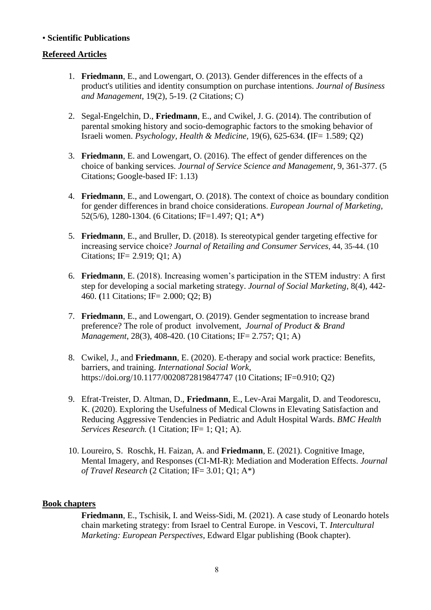# • **Scientific Publications**

# **Refereed Articles**

- 1. **Friedmann**, E., and Lowengart, O. (2013). Gender differences in the effects of a product's utilities and identity consumption on purchase intentions. *Journal of Business and Management*, 19(2), 5-19. (2 Citations; C)
- 2. Segal-Engelchin, D., **Friedmann**, E., and Cwikel, J. G. (2014). The contribution of parental smoking history and socio-demographic factors to the smoking behavior of Israeli women. *Psychology, Health & Medicine,* 19(6), 625-634. **(**IF= 1.589; Q2)
- 3. **Friedmann**, E. and Lowengart, O. (2016). The effect of gender differences on the choice of banking services. *Journal of Service Science and Management*, 9, 361-377. (5 Citations; [Google-based IF:](https://www.scirp.org/journal/Journalcitationdetails.aspx?JournalID=28) 1.13)
- 4. **Friedmann**, E., and Lowengart, O. (2018). The context of choice as boundary condition for gender differences in brand choice considerations. *European Journal of Marketing,*  52(5/6), 1280-1304. (6 Citations; IF=1.497; Q1; A\*)
- 5. **Friedmann**, E., and Bruller, D. (2018). Is stereotypical gender targeting effective for increasing service choice? *Journal of Retailing and Consumer Services*, 44, 35-44. (10 Citations; IF= 2.919; Q1; A)
- 6. **Friedmann**, E. (2018). Increasing women's participation in the STEM industry: A first step for developing a social marketing strategy. *Journal of Social Marketing*, 8(4), 442- 460. **(**11 Citations; IF= 2.000; Q2; B)
- 7. **Friedmann**, E., and Lowengart, O. (2019). Gender [segmentation to increase brand](https://www.emeraldinsight.com/doi/abs/10.1108/JPBM-06-2018-1917)  [preference? The role of product](https://www.emeraldinsight.com/doi/abs/10.1108/JPBM-06-2018-1917) [involvement,](https://www.emeraldinsight.com/doi/abs/10.1108/JPBM-06-2018-1917) *Journal of Product & Brand Management*, 28(3), 408-420. (10 Citations; IF= 2.757; Q1; A)
- 8. Cwikel, J., and **Friedmann**, E. (2020). E-therapy and social work practice: Benefits, barriers, and training. *International Social Work,*  <https://doi.org/10.1177/0020872819847747> (10 Citations; IF=0.910; Q2)
- 9. Efrat-Treister, D. Altman, D., **Friedmann**, E., Lev-Arai Margalit, D. and Teodorescu, K. (2020). Exploring the Usefulness of Medical Clowns in Elevating Satisfaction and Reducing Aggressive Tendencies in Pediatric and Adult Hospital Wards. *BMC Health Services Research.* (1 Citation; IF= 1; Q1; A).
- 10. Loureiro, S. Roschk, H. Faizan, A. and **Friedmann**, E. (2021). Cognitive Image, Mental Imagery, and Responses (CI-MI-R): Mediation and Moderation Effects. *Journal of Travel Research* (2 Citation; IF= 3.01; Q1; A\*)

# **Book chapters**

**Friedmann**, E., Tschisik, I. and Weiss-Sidi, M. (2021). A case study of Leonardo hotels chain marketing strategy: from Israel to Central Europe. in Vescovi, T. *Intercultural Marketing: European Perspectives*, Edward Elgar publishing (Book chapter).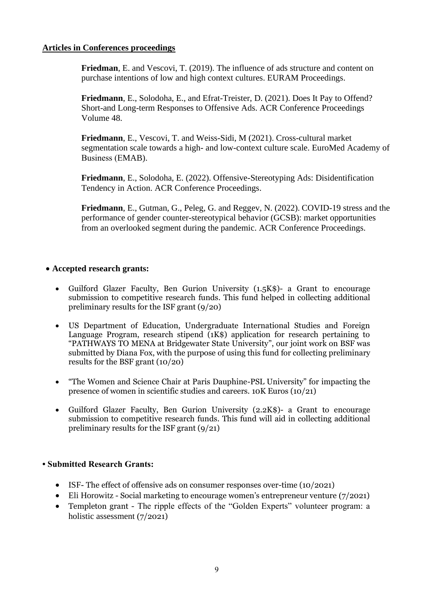# **Articles in Conferences proceedings**

**Friedman**, E. and Vescovi, T. (2019). The influence of ads structure and content on purchase intentions of low and high context cultures. EURAM Proceedings.

**Friedmann**, E., Solodoha, E., and Efrat-Treister, D. (2021). Does It Pay to Offend? Short-and Long-term Responses to Offensive Ads. ACR Conference Proceedings Volume 48.

**Friedmann**, E., Vescovi, T. and Weiss-Sidi, M (2021). Cross-cultural market segmentation scale towards a high- and low-context culture scale. EuroMed Academy of Business (ΕMAB).

**Friedmann**, E., Solodoha, E. (2022). Offensive-Stereotyping Ads: Disidentification Tendency in Action. ACR Conference Proceedings.

**Friedmann**, E., Gutman, G., Peleg, G. and Reggev, N. (2022). COVID-19 stress and the performance of gender counter-stereotypical behavior (GCSB): market opportunities from an overlooked segment during the pandemic. ACR Conference Proceedings.

# • **Accepted research grants:**

- Guilford Glazer Faculty, Ben Gurion University (1.5K\$)- a Grant to encourage submission to competitive research funds. This fund helped in collecting additional preliminary results for the ISF grant (9/20)
- US Department of Education, Undergraduate International Studies and Foreign Language Program, research stipend (1K\$) application for research pertaining to "PATHWAYS TO MENA at Bridgewater State University", our joint work on BSF was submitted by Diana Fox, with the purpose of using this fund for collecting preliminary results for the BSF grant (10/20)
- "The Women and Science Chair at Paris Dauphine-PSL University" for impacting the presence of women in scientific studies and careers. 10K Euros (10/21)
- Guilford Glazer Faculty, Ben Gurion University (2.2K\$)- a Grant to encourage submission to competitive research funds. This fund will aid in collecting additional preliminary results for the ISF grant (9/21)

# **• Submitted Research Grants:**

- ISF- The effect of offensive ads on consumer responses over-time (10/2021)
- Eli Horowitz Social marketing to encourage women's entrepreneur venture (7/2021)
- Templeton grant The ripple effects of the "Golden Experts" volunteer program: a holistic assessment (7/2021)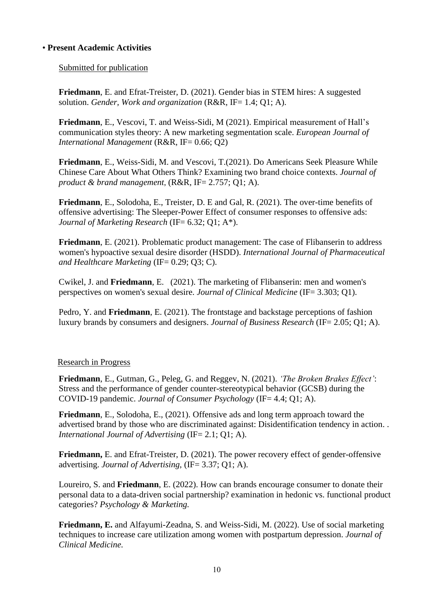# • **Present Academic Activities**

# Submitted for publication

**Friedmann**, E. and Efrat-Treister, D. (2021). Gender bias in STEM hires: A suggested solution. *Gender, Work and organization* (R&R, IF= 1.4; Q1; A).

**Friedmann**, E., Vescovi, T. and Weiss-Sidi, M (2021). Empirical measurement of Hall's communication styles theory: A new marketing segmentation scale. *European Journal of International Management* (R&R, IF= 0.66; Q2)

**Friedmann**, E., Weiss-Sidi, M. and Vescovi, T.(2021). Do Americans Seek Pleasure While Chinese Care About What Others Think? Examining two brand choice contexts. *Journal of product & brand management*, (R&R, IF= 2.757; Q1; A).

**Friedmann**, E., Solodoha, E., Treister, D. E and Gal, R. (2021). The over-time benefits of offensive advertising: The Sleeper-Power Effect of consumer responses to offensive ads: *Journal of Marketing Research* (IF= 6.32; Q1; A\*).

**Friedmann**, E. (2021). Problematic product management: The case of Flibanserin to address women's hypoactive sexual desire disorder (HSDD). *International Journal of Pharmaceutical and Healthcare Marketing* (IF= 0.29; Q3; C).

Cwikel, J. and **Friedmann**, E. (2021). The marketing of Flibanserin: men and women's perspectives on women's sexual desire. *Journal of Clinical Medicine* (IF= 3.303; Q1).

Pedro, Y. and **Friedmann**, E. (2021). The frontstage and backstage perceptions of fashion luxury brands by consumers and designers. *Journal of Business Research* (IF= 2.05; Q1; A).

# Research in Progress

**Friedmann**, E., Gutman, G., Peleg, G. and Reggev, N. (2021). *'The Broken Brakes Effect'*: Stress and the performance of gender counter-stereotypical behavior (GCSB) during the COVID-19 pandemic. *Journal of Consumer Psychology* (IF= 4.4; Q1; A).

**Friedmann**, E., Solodoha, E., (2021). Offensive ads and long term approach toward the advertised brand by those who are discriminated against: Disidentification tendency in action. . *International Journal of Advertising* (IF= 2.1; O1; A).

**Friedmann,** E. and Efrat-Treister, D. (2021). The power recovery effect of gender-offensive advertising. *Journal of Advertising,* (IF= 3.37; Q1; A).

Loureiro, S. and **Friedmann**, E. (2022). How can brands encourage consumer to donate their personal data to a data-driven social partnership? examination in hedonic vs. functional product categories? *Psychology & Marketing.*

**Friedmann, E.** and Alfayumi-Zeadna, S. and Weiss-Sidi, M. (2022). Use of social marketing techniques to increase care utilization among women with postpartum depression. *Journal of Clinical Medicine.*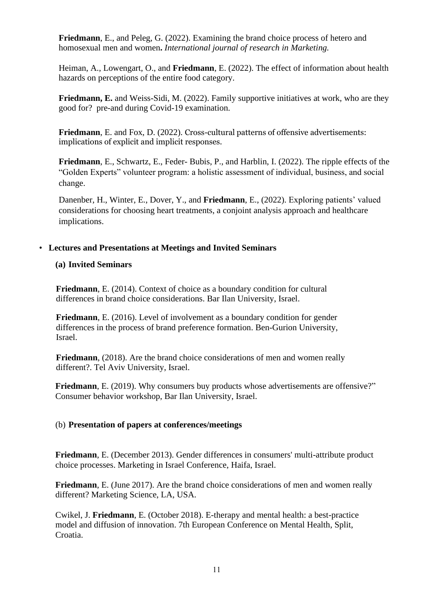**Friedmann**, E., and Peleg, G. (2022). Examining the brand choice process of hetero and homosexual men and women**.** *International journal of research in Marketing.*

Heiman, A., Lowengart, O., and **Friedmann**, E. (2022). The effect of information about health hazards on perceptions of the entire food category.

**Friedmann, E.** and Weiss-Sidi, M. (2022). Family supportive initiatives at work, who are they good for? pre-and during Covid-19 examination.

**Friedmann**, E. and Fox, D. (2022). Cross-cultural patterns of offensive advertisements: implications of explicit and implicit responses.

**Friedmann**, E., Schwartz, E., Feder- Bubis, P., and Harblin, I. (2022). The ripple effects of the "Golden Experts" volunteer program: a holistic assessment of individual, business, and social change.

Danenber, H., Winter, E., Dover, Y., and **Friedmann**, E., (2022). Exploring patients' valued considerations for choosing heart treatments, a conjoint analysis approach and healthcare implications.

# • **Lectures and Presentations at Meetings and Invited Seminars**

# **(a) Invited Seminars**

**Friedmann**, E. (2014). Context of choice as a boundary condition for cultural differences in brand choice considerations. Bar Ilan University, Israel.

**Friedmann**, E. (2016). Level of involvement as a boundary condition for gender differences in the process of brand preference formation. Ben-Gurion University, Israel.

**Friedmann**, (2018). Are the brand choice considerations of men and women really different?. Tel Aviv University, Israel.

**Friedmann**, E. (2019). Why consumers buy products whose advertisements are offensive?" Consumer behavior workshop, Bar Ilan University, Israel.

# (b) **Presentation of papers at conferences/meetings**

**Friedmann**, E. (December 2013). Gender differences in consumers' multi-attribute product choice processes. Marketing in Israel Conference, Haifa, Israel.

**Friedmann**, E. (June 2017). Are the brand choice considerations of men and women really different? Marketing Science, LA, USA.

Cwikel, J. **Friedmann**, E. (October 2018). E-therapy and mental health: a best-practice model and diffusion of innovation. 7th European Conference on Mental Health, Split, Croatia.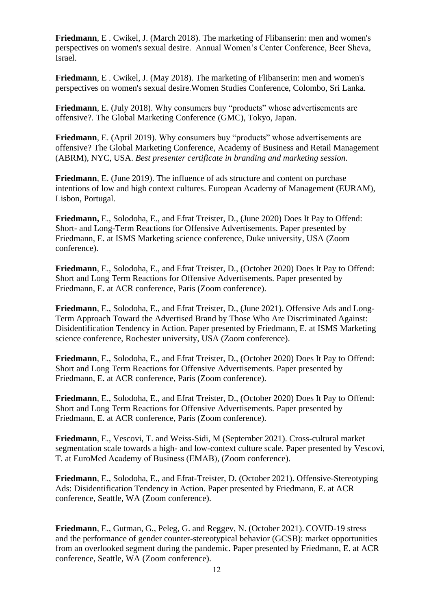**Friedmann**, E . Cwikel, J. (March 2018). The marketing of Flibanserin: men and women's perspectives on women's sexual desire. Annual Women's Center Conference, Beer Sheva, Israel.

**Friedmann**, E . Cwikel, J. (May 2018). The marketing of Flibanserin: men and women's perspectives on women's sexual desire.Women Studies Conference, Colombo, Sri Lanka.

**Friedmann**, E. (July 2018). Why consumers buy "products" whose advertisements are offensive?. The Global Marketing Conference (GMC), Tokyo, Japan.

**Friedmann**, E. (April 2019). Why consumers buy "products" whose advertisements are offensive? The Global Marketing Conference, Academy of Business and Retail Management (ABRM), NYC, USA. *Best presenter certificate in branding and marketing session.*

**Friedmann**, E. (June 2019). The influence of ads structure and content on purchase intentions of low and high context cultures. European Academy of Management (EURAM), Lisbon, Portugal.

**Friedmann,** E., Solodoha, E., and Efrat Treister, D., (June 2020) Does It Pay to Offend: Short- and Long-Term Reactions for Offensive Advertisements. Paper presented by Friedmann, E. at ISMS Marketing science conference, Duke university, USA (Zoom conference).

**Friedmann**, E., Solodoha, E., and Efrat Treister, D., (October 2020) Does It Pay to Offend: Short and Long Term Reactions for Offensive Advertisements. Paper presented by Friedmann, E. at ACR conference, Paris (Zoom conference).

**Friedmann**, E., Solodoha, E., and Efrat Treister, D., (June 2021). Offensive Ads and Long-Term Approach Toward the Advertised Brand by Those Who Are Discriminated Against: Disidentification Tendency in Action. Paper presented by Friedmann, E. at ISMS Marketing science conference, Rochester university, USA (Zoom conference).

**Friedmann**, E., Solodoha, E., and Efrat Treister, D., (October 2020) Does It Pay to Offend: Short and Long Term Reactions for Offensive Advertisements. Paper presented by Friedmann, E. at ACR conference, Paris (Zoom conference).

**Friedmann**, E., Solodoha, E., and Efrat Treister, D., (October 2020) Does It Pay to Offend: Short and Long Term Reactions for Offensive Advertisements. Paper presented by Friedmann, E. at ACR conference, Paris (Zoom conference).

**Friedmann**, E., Vescovi, T. and Weiss-Sidi, M (September 2021). Cross-cultural market segmentation scale towards a high- and low-context culture scale. Paper presented by Vescovi, T. at EuroMed Academy of Business (ΕMAB), (Zoom conference).

**Friedmann**, E., Solodoha, E., and Efrat-Treister, D. (October 2021). Offensive-Stereotyping Ads: Disidentification Tendency in Action. Paper presented by Friedmann, E. at ACR conference, Seattle, WA (Zoom conference).

**Friedmann**, E., Gutman, G., Peleg, G. and Reggev, N. (October 2021). COVID-19 stress and the performance of gender counter-stereotypical behavior (GCSB): market opportunities from an overlooked segment during the pandemic. Paper presented by Friedmann, E. at ACR conference, Seattle, WA (Zoom conference).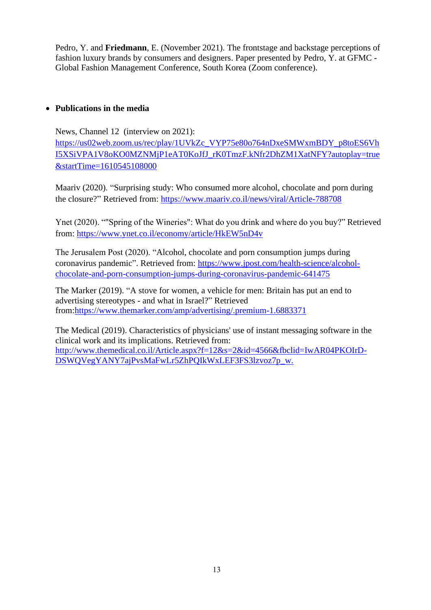Pedro, Y. and **Friedmann**, E. (November 2021). The frontstage and backstage perceptions of fashion luxury brands by consumers and designers. Paper presented by Pedro, Y. at GFMC - Global Fashion Management Conference, South Korea (Zoom conference).

# • **Publications in the media**

News, Channel 12 (interview on 2021): [https://us02web.zoom.us/rec/play/1UVkZc\\_VYP75e80o764nDxeSMWxmBDY\\_p8toES6Vh](https://us02web.zoom.us/rec/play/1UVkZc_VYP75e80o764nDxeSMWxmBDY_p8toES6VhI5XSiVPA1V8oKO0MZNMjP1eAT0KoJfJ_rK0TmzF.kNfr2DhZM1XatNFY?autoplay=true&startTime=1610545108000) [I5XSiVPA1V8oKO0MZNMjP1eAT0KoJfJ\\_rK0TmzF.kNfr2DhZM1XatNFY?autoplay=true](https://us02web.zoom.us/rec/play/1UVkZc_VYP75e80o764nDxeSMWxmBDY_p8toES6VhI5XSiVPA1V8oKO0MZNMjP1eAT0KoJfJ_rK0TmzF.kNfr2DhZM1XatNFY?autoplay=true&startTime=1610545108000) [&startTime=1610545108000](https://us02web.zoom.us/rec/play/1UVkZc_VYP75e80o764nDxeSMWxmBDY_p8toES6VhI5XSiVPA1V8oKO0MZNMjP1eAT0KoJfJ_rK0TmzF.kNfr2DhZM1XatNFY?autoplay=true&startTime=1610545108000)

Maariv (2020). "Surprising study: Who consumed more alcohol, chocolate and porn during the closure?" Retrieved from: <https://www.maariv.co.il/news/viral/Article-788708>

Ynet (2020). ""Spring of the Wineries": What do you drink and where do you buy?" Retrieved from:<https://www.ynet.co.il/economy/article/HkEW5nD4v>

The Jerusalem Post (2020). "Alcohol, chocolate and porn consumption jumps during coronavirus pandemic". Retrieved from: [https://www.jpost.com/health-science/alcohol](https://www.jpost.com/health-science/alcohol-chocolate-and-porn-consumption-jumps-during-coronavirus-pandemic-641475)[chocolate-and-porn-consumption-jumps-during-coronavirus-pandemic-641475](https://www.jpost.com/health-science/alcohol-chocolate-and-porn-consumption-jumps-during-coronavirus-pandemic-641475)

The Marker (2019). "A stove for women, a vehicle for men: Britain has put an end to advertising stereotypes - and what in Israel?" Retrieved from[:https://www.themarker.com/amp/advertising/.premium-1.6883371](https://www.themarker.com/amp/advertising/.premium-1.6883371)

The Medical (2019). Characteristics of physicians' use of instant messaging software in the clinical work and its implications. Retrieved from: [http://www.themedical.co.il/Article.aspx?f=12&s=2&id=4566&fbclid=IwAR04PKOIrD-](http://www.themedical.co.il/Article.aspx?f=12&s=2&id=4566&fbclid=IwAR04PKOIrD-DSWQVegYANY7ajPvsMaFwLr5ZhPQIkWxLEF3FS3lzvoz7p_w.)[DSWQVegYANY7ajPvsMaFwLr5ZhPQIkWxLEF3FS3lzvoz7p\\_w.](http://www.themedical.co.il/Article.aspx?f=12&s=2&id=4566&fbclid=IwAR04PKOIrD-DSWQVegYANY7ajPvsMaFwLr5ZhPQIkWxLEF3FS3lzvoz7p_w.)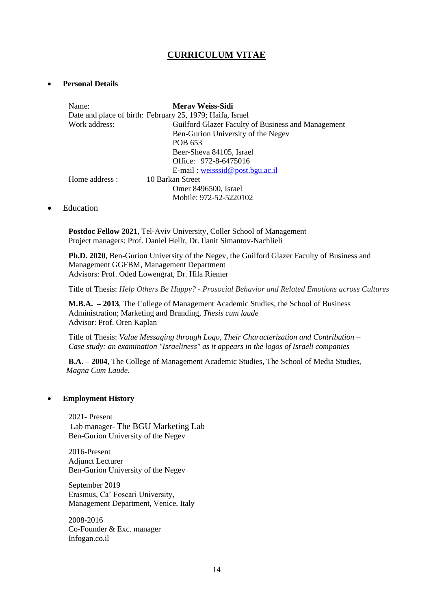# **CURRICULUM VITAE**

### • **Personal Details**

| Meray Weiss-Sidi                                          |  |
|-----------------------------------------------------------|--|
| Date and place of birth: February 25, 1979; Haifa, Israel |  |
| Guilford Glazer Faculty of Business and Management        |  |
| Ben-Gurion University of the Negev                        |  |
| POB 653                                                   |  |
| Beer-Sheva 84105, Israel                                  |  |
| Office: 972-8-6475016                                     |  |
| $E$ -mail: weisssid@post.bgu.ac.il                        |  |
| 10 Barkan Street                                          |  |
| Omer 8496500, Israel                                      |  |
| Mobile: 972-52-5220102                                    |  |
|                                                           |  |

### • Education

**Postdoc Fellow 2021**, Tel-Aviv University, Coller School of Management Project managers: Prof. Daniel Hellr, Dr. Ilanit Simantov-Nachlieli

**Ph.D. 2020**, Ben-Gurion University of the Negev, the Guilford Glazer Faculty of Business and Management GGFBM, Management Department Advisors: Prof. Oded Lowengrat, Dr. Hila Riemer

Title of Thesis: *Help Others Be Happy? - Prosocial Behavior and Related Emotions across Cultures*

**M.B.A. – 2013**, The College of Management Academic Studies, the School of Business Administration; Marketing and Branding, *Thesis cum laude* Advisor: Prof. Oren Kaplan

Title of Thesis: *Value Messaging through Logo, Their Characterization and Contribution – Case study: an examination "Israeliness" as it appears in the logos of Israeli companies*

**B.A. – 2004**, The College of Management Academic Studies, The School of Media Studies*, Magna Cum Laude.*

### • **Employment History**

2021- Present Lab manager- The BGU Marketing Lab Ben-Gurion University of the Negev

2016-Present Adjunct Lecturer Ben-Gurion University of the Negev

September 2019 Erasmus, Ca' Foscari University, Management Department, Venice, Italy

2008-2016 Co-Founder & Exc. manager Infogan.co.il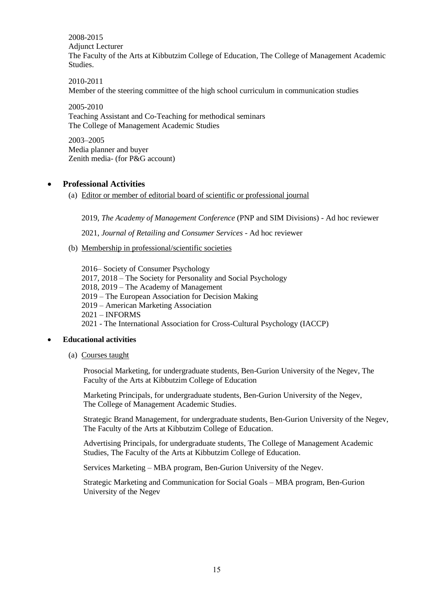2008-2015

Adjunct Lecturer

The Faculty of the Arts at Kibbutzim College of Education, The College of Management Academic Studies.

2010-2011 Member of the steering committee of the high school curriculum in communication studies

2005-2010 Teaching Assistant and Co-Teaching for methodical seminars The College of Management Academic Studies

2003–2005 Media planner and buyer Zenith media- (for P&G account)

# • **Professional Activities**

(a) Editor or member of editorial board of scientific or professional journal

2019, *The Academy of Management Conference* (PNP and SIM Divisions) - Ad hoc reviewer

2021, *Journal of Retailing and Consumer Services* - Ad hoc reviewer

(b) Membership in professional/scientific societies

2016– Society of Consumer Psychology 2017, 2018 – The Society for Personality and Social Psychology 2018, 2019 – The Academy of Management 2019 – The European Association for Decision Making 2019 – American Marketing Association 2021 – INFORMS 2021 - The International Association for Cross-Cultural Psychology (IACCP)

# • **Educational activities**

(a) Courses taught

Prosocial Marketing, for undergraduate students, Ben-Gurion University of the Negev, The Faculty of the Arts at Kibbutzim College of Education

Marketing Principals, for undergraduate students, Ben-Gurion University of the Negev, The College of Management Academic Studies.

Strategic Brand Management, for undergraduate students, Ben-Gurion University of the Negev, The Faculty of the Arts at Kibbutzim College of Education.

Advertising Principals, for undergraduate students, The College of Management Academic Studies, The Faculty of the Arts at Kibbutzim College of Education.

Services Marketing – MBA program, Ben-Gurion University of the Negev.

Strategic Marketing and Communication for Social Goals – MBA program, Ben-Gurion University of the Negev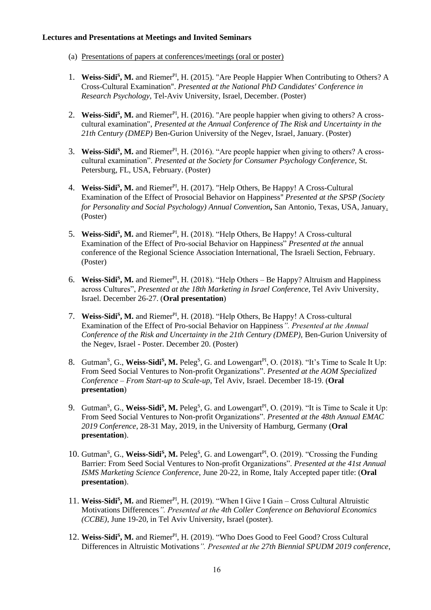### **Lectures and Presentations at Meetings and Invited Seminars**

- (a) Presentations of papers at conferences/meetings (oral or poster)
- 1. Weiss-Sidi<sup>S</sup>, M. and Riemer<sup>PI</sup>, H. (2015). "Are People Happier When Contributing to Others? A Cross-Cultural Examination". *Presented at the National PhD Candidates' Conference in Research Psychology*, Tel-Aviv University, Israel, December. (Poster)
- 2. Weiss-Sidi<sup>s</sup>, M. and Riemer<sup>PI</sup>, H. (2016). "Are people happier when giving to others? A crosscultural examination", *Presented at the Annual Conference of The Risk and Uncertainty in the 21th Century (DMEP)* Ben-Gurion University of the Negev, Israel, January. (Poster)
- 3. Weiss-Sidi<sup>S</sup>, M. and Riemer<sup>PI</sup>, H. (2016). "Are people happier when giving to others? A crosscultural examination". *Presented at the Society for Consumer Psychology Conference,* St. Petersburg, FL, USA, February. (Poster)
- 4. Weiss-Sidi<sup>s</sup>, M. and Riemer<sup>PI</sup>, H. (2017). "Help Others, Be Happy! A Cross-Cultural Examination of the Effect of Prosocial Behavior on Happiness" *Presented at the SPSP (Society for Personality and Social Psychology) Annual Convention***,** San Antonio, Texas, USA, January. (Poster)
- 5. Weiss-Sidi<sup>s</sup>, M. and Riemer<sup>PI</sup>, H. (2018). "Help Others, Be Happy! A Cross-cultural Examination of the Effect of Pro-social Behavior on Happiness" *Presented at the* annual conference of the Regional Science Association International, The Israeli Section, February. (Poster)
- 6. **Weiss-Sidi<sup>S</sup>, M.** and Riemer<sup>PI</sup>, H. (2018). "Help Others Be Happy? Altruism and Happiness across Cultures", *Presented at the 18th Marketing in Israel Conference*, Tel Aviv University, Israel. December 26-27. (**Oral presentation**)
- 7. Weiss-Sidi<sup>S</sup>, M. and Riemer<sup>PI</sup>, H. (2018). "Help Others, Be Happy! A Cross-cultural Examination of the Effect of Pro-social Behavior on Happiness*". Presented at the Annual Conference of the Risk and Uncertainty in the 21th Century (DMEP),* Ben-Gurion University of the Negev, Israel - Poster. December 20. (Poster)
- 8. Gutman<sup>S</sup>, G., Weiss-Sidi<sup>S</sup>, M. Peleg<sup>S</sup>, G. and Lowengart<sup>PI</sup>, O. (2018). "It's Time to Scale It Up: From Seed Social Ventures to Non-profit Organizations". *Presented at the AOM Specialized Conference – From Start-up to Scale-up*, Tel Aviv, Israel. December 18-19. (**Oral presentation**)
- 9. Gutman<sup>S</sup>, G., Weiss-Sidi<sup>S</sup>, M. Peleg<sup>S</sup>, G. and Lowengart<sup>PI</sup>, O. (2019). "It is Time to Scale it Up: From Seed Social Ventures to Non-profit Organizations". *Presented at the 48th Annual EMAC 2019 Conference*, 28-31 May, 2019, in the University of Hamburg, Germany (**Oral presentation**).
- 10. Gutman<sup>S</sup>, G., Weiss-Sidi<sup>S</sup>, M. Peleg<sup>S</sup>, G. and Lowengart<sup>PI</sup>, O. (2019). "Crossing the Funding Barrier: From Seed Social Ventures to Non-profit Organizations". *Presented at the 41st Annual ISMS Marketing Science Conference*, June 20-22, in Rome, Italy Accepted paper title: (**Oral presentation**).
- 11. Weiss-Sidi<sup>S</sup>, M. and Riemer<sup>PI</sup>, H. (2019). "When I Give I Gain Cross Cultural Altruistic Motivations Differences*". Presented at the 4th Coller Conference on Behavioral Economics (CCBE)*, June 19-20, in Tel Aviv University, Israel (poster).
- 12. Weiss-Sidi<sup>S</sup>, M. and Riemer<sup>PI</sup>, H. (2019). "Who Does Good to Feel Good? Cross Cultural Differences in Altruistic Motivations*". Presented at the 27th Biennial SPUDM 2019 conference*,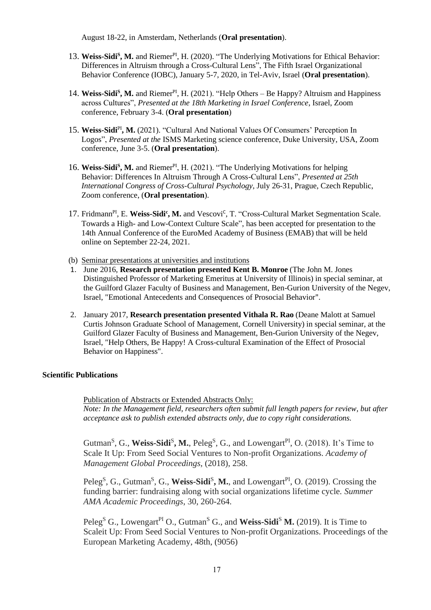August 18-22, in Amsterdam, Netherlands (**Oral presentation**).

- 13. Weiss-Sidi<sup>S</sup>, M. and Riemer<sup>PI</sup>, H. (2020). "The Underlying Motivations for Ethical Behavior: Differences in Altruism through a Cross-Cultural Lens", The Fifth Israel Organizational Behavior Conference (IOBC), January 5-7, 2020, in Tel-Aviv, Israel (**Oral presentation**).
- 14. Weiss-Sidi<sup>S</sup>, M. and Riemer<sup>PI</sup>, H. (2021). "Help Others Be Happy? Altruism and Happiness across Cultures", *Presented at the 18th Marketing in Israel Conference*, Israel, Zoom conference, February 3-4. (**Oral presentation**)
- 15. **Weiss-Sidi**PI**, M.** (2021). "Cultural And National Values Of Consumers' Perception In Logos", *Presented at the* ISMS Marketing science conference, Duke University, USA, Zoom conference, June 3-5. (**Oral presentation**).
- 16. Weiss-Sidi<sup>S</sup>, M. and Riemer<sup>PI</sup>, H. (2021). "The Underlying Motivations for helping Behavior: Differences In Altruism Through A Cross-Cultural Lens", *Presented at 25th International Congress of Cross-Cultural Psychology*, July 26-31, Prague, Czech Republic, Zoom conference, (**Oral presentation**).
- 17. Fridmann<sup>PI</sup>, E. Weiss-Sidi<sup>c</sup>, M. and Vescovi<sup>c</sup>, T. "Cross-Cultural Market Segmentation Scale. Towards a High- and Low-Context Culture Scale", has been accepted for presentation to the 14th Annual Conference of the EuroMed Academy of Business (EMAB) that will be held online on September 22-24, 2021.
- (b) Seminar presentations at universities and institutions
- 1. June 2016, **Research presentation presented Kent B. Monroe** (The John M. Jones Distinguished Professor of Marketing Emeritus at University of Illinois) in special seminar, at the Guilford Glazer Faculty of Business and Management, Ben-Gurion University of the Negev, Israel, "Emotional Antecedents and Consequences of Prosocial Behavior".
- 2. January 2017, **Research presentation presented Vithala R. Rao** (Deane Malott at Samuel Curtis Johnson Graduate School of Management, Cornell University) in special seminar, at the Guilford Glazer Faculty of Business and Management, Ben-Gurion University of the Negev, Israel, "Help Others, Be Happy! A Cross-cultural Examination of the Effect of Prosocial Behavior on Happiness".

### **Scientific Publications**

Publication of Abstracts or Extended Abstracts Only: *Note: In the Management field, researchers often submit full length papers for review, but after acceptance ask to publish extended abstracts only, due to copy right considerations.*

Gutman<sup>S</sup>, G., **Weiss-Sidi<sup>S</sup>, M.**, Peleg<sup>S</sup>, G., and Lowengart<sup>PI</sup>, O. (2018). It's Time to Scale It Up: From Seed Social Ventures to Non-profit Organizations. *Academy of Management Global Proceedings*, (2018), 258.

Peleg<sup>S</sup>, G., Gutman<sup>S</sup>, G., Weiss-Sidi<sup>S</sup>, M., and Lowengart<sup>PI</sup>, O. (2019). Crossing the funding barrier: fundraising along with social organizations lifetime cycle*. Summer AMA Academic Proceedings*, 30, 260-264.

Peleg<sup>S</sup> G., Lowengart<sup>PI</sup> O., Gutman<sup>S</sup> G., and **Weiss-Sidi<sup>S</sup> M.** (2019). It is Time to Scaleit Up: From Seed Social Ventures to Non-profit Organizations. Proceedings of the European Marketing Academy, 48th, (9056)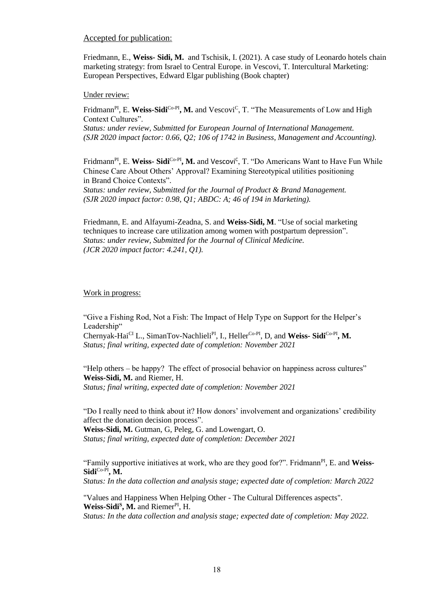### Accepted for publication:

Friedmann, E., **Weiss- Sidi, M.** and Tschisik, I. (2021). A case study of Leonardo hotels chain marketing strategy: from Israel to Central Europe. in Vescovi, T. Intercultural Marketing: European Perspectives, Edward Elgar publishing (Book chapter)

#### Under review:

Fridmann<sup>PI</sup>, E. Weiss-Sidi<sup>Co-PI</sup>, M. and Vescovi<sup>C</sup>, T. "The Measurements of Low and High Context Cultures".

*Status: under review, Submitted for European Journal of International Management. (SJR 2020 impact factor: 0.66, Q2; 106 of 1742 in Business, Management and Accounting).* 

Fridmann<sup>PI</sup>, E. Weiss- Sidi<sup>Co-PI</sup>, M. and Vescovi<sup>c</sup>, T. "Do Americans Want to Have Fun While Chinese Care About Others' Approval? Examining Stereotypical utilities positioning in Brand Choice Contexts".

*Status: under review, Submitted for the Journal of Product & Brand Management. (SJR 2020 impact factor: 0.98, Q1; ABDC: A; 46 of 194 in Marketing).* 

Friedmann, E. and Alfayumi-Zeadna, S. and **Weiss-Sidi, M**. "Use of social marketing techniques to increase care utilization among women with postpartum depression". *Status: under review, Submitted for the Journal of Clinical Medicine. (JCR 2020 impact factor: 4.241, Q1).*

#### Work in progress:

"Give a Fishing Rod, Not a Fish: The Impact of Help Type on Support for the Helper's Leadership"

Chernyak-Hai<sup>CI</sup> L., SimanTov-Nachlieli<sup>PI</sup>, I., Heller<sup>Co-PI</sup>, D, and Weiss-Sidi<sup>Co-PI</sup>, M. *Status; final writing, expected date of completion: November 2021*

"Help others – be happy? The effect of prosocial behavior on happiness across cultures" **Weiss-Sidi, M.** and Riemer, H. *Status; final writing, expected date of completion: November 2021*

"Do I really need to think about it? How donors' involvement and organizations' credibility affect the donation decision process".

**Weiss-Sidi, M.** Gutman, G, Peleg, G. and Lowengart, O. *Status; final writing, expected date of completion: December 2021*

"Family supportive initiatives at work, who are they good for?". Fridmann<sup>PI</sup>, E. and Weiss-**Sidi**Co-PI**, M.**

*Status: In the data collection and analysis stage; expected date of completion: March 2022*

"Values and Happiness When Helping Other - The Cultural Differences aspects". **Weiss-Sidi<sup>S</sup>**, **M.** and Riemer<sup>PI</sup>, H. *Status: In the data collection and analysis stage; expected date of completion: May 2022.*